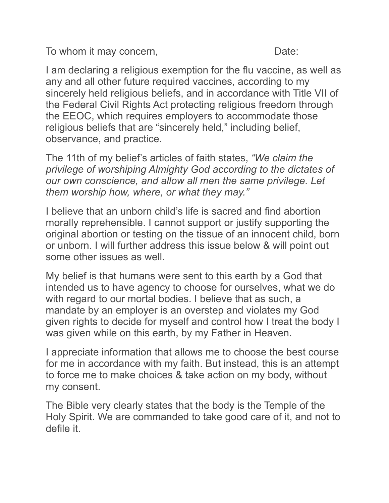To whom it may concern, To whom it may concern,

I am declaring a religious exemption for the flu vaccine, as well as any and all other future required vaccines, according to my sincerely held religious beliefs, and in accordance with Title VII of the Federal Civil Rights Act protecting religious freedom through the EEOC, which requires employers to accommodate those religious beliefs that are "sincerely held," including belief, observance, and practice.

The 11th of my belief's articles of faith states, *"We claim the privilege of worshiping Almighty God according to the dictates of our own conscience, and allow all men the same privilege. Let them worship how, where, or what they may."* 

I believe that an unborn child's life is sacred and find abortion morally reprehensible. I cannot support or justify supporting the original abortion or testing on the tissue of an innocent child, born or unborn. I will further address this issue below & will point out some other issues as well.

My belief is that humans were sent to this earth by a God that intended us to have agency to choose for ourselves, what we do with regard to our mortal bodies. I believe that as such, a mandate by an employer is an overstep and violates my God given rights to decide for myself and control how I treat the body I was given while on this earth, by my Father in Heaven.

I appreciate information that allows me to choose the best course for me in accordance with my faith. But instead, this is an attempt to force me to make choices & take action on my body, without my consent.

The Bible very clearly states that the body is the Temple of the Holy Spirit. We are commanded to take good care of it, and not to defile it.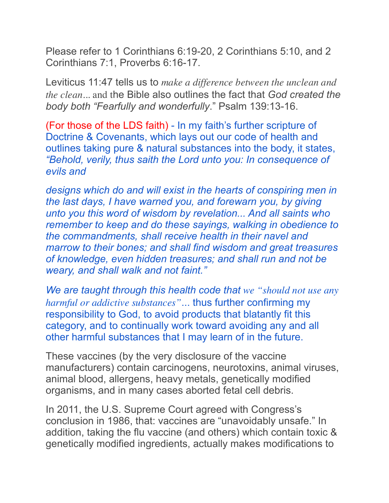Please refer to 1 Corinthians 6:19-20, 2 Corinthians 5:10, and 2 Corinthians 7:1, Proverbs 6:16-17.

Leviticus 11:47 tells us to *make a difference between the unclean and the clean*... and the Bible also outlines the fact that *God created the body both "Fearfully and wonderfully*." Psalm 139:13-16.

(For those of the LDS faith) - In my faith's further scripture of Doctrine & Covenants, which lays out our code of health and outlines taking pure & natural substances into the body, it states, *"Behold, verily, thus saith the Lord unto you: In consequence of evils and* 

*designs which do and will exist in the hearts of conspiring men in the last days, I have warned you, and forewarn you, by giving unto you this word of wisdom by revelation... And all saints who remember to keep and do these sayings, walking in obedience to the commandments, shall receive health in their navel and marrow to their bones; and shall find wisdom and great treasures of knowledge, even hidden treasures; and shall run and not be weary, and shall walk and not faint."* 

*We are taught through this health code that we "should not use any harmful or addictive substances"*... thus further confirming my responsibility to God, to avoid products that blatantly fit this category, and to continually work toward avoiding any and all other harmful substances that I may learn of in the future.

These vaccines (by the very disclosure of the vaccine manufacturers) contain carcinogens, neurotoxins, animal viruses, animal blood, allergens, heavy metals, genetically modified organisms, and in many cases aborted fetal cell debris.

In 2011, the U.S. Supreme Court agreed with Congress's conclusion in 1986, that: vaccines are "unavoidably unsafe." In addition, taking the flu vaccine (and others) which contain toxic & genetically modified ingredients, actually makes modifications to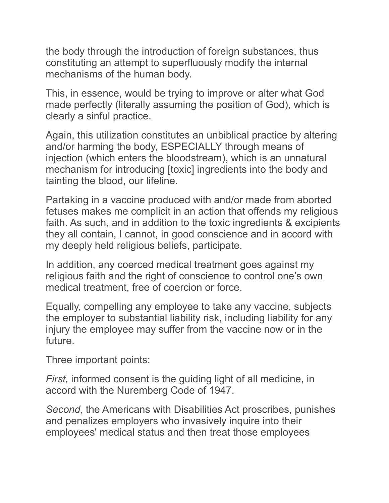the body through the introduction of foreign substances, thus constituting an attempt to superfluously modify the internal mechanisms of the human body.

This, in essence, would be trying to improve or alter what God made perfectly (literally assuming the position of God), which is clearly a sinful practice.

Again, this utilization constitutes an unbiblical practice by altering and/or harming the body, ESPECIALLY through means of injection (which enters the bloodstream), which is an unnatural mechanism for introducing [toxic] ingredients into the body and tainting the blood, our lifeline.

Partaking in a vaccine produced with and/or made from aborted fetuses makes me complicit in an action that offends my religious faith. As such, and in addition to the toxic ingredients & excipients they all contain, I cannot, in good conscience and in accord with my deeply held religious beliefs, participate.

In addition, any coerced medical treatment goes against my religious faith and the right of conscience to control one's own medical treatment, free of coercion or force.

Equally, compelling any employee to take any vaccine, subjects the employer to substantial liability risk, including liability for any injury the employee may suffer from the vaccine now or in the future.

Three important points:

*First,* informed consent is the guiding light of all medicine, in accord with the Nuremberg Code of 1947.

*Second,* the Americans with Disabilities Act proscribes, punishes and penalizes employers who invasively inquire into their employees' medical status and then treat those employees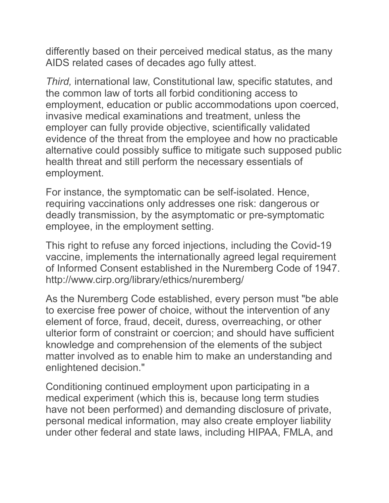differently based on their perceived medical status, as the many AIDS related cases of decades ago fully attest.

*Third,* international law, Constitutional law, specific statutes, and the common law of torts all forbid conditioning access to employment, education or public accommodations upon coerced, invasive medical examinations and treatment, unless the employer can fully provide objective, scientifically validated evidence of the threat from the employee and how no practicable alternative could possibly suffice to mitigate such supposed public health threat and still perform the necessary essentials of employment.

For instance, the symptomatic can be self-isolated. Hence, requiring vaccinations only addresses one risk: dangerous or deadly transmission, by the asymptomatic or pre-symptomatic employee, in the employment setting.

This right to refuse any forced injections, including the Covid-19 vaccine, implements the internationally agreed legal requirement of Informed Consent established in the Nuremberg Code of 1947. http://www.cirp.org/library/ethics/nuremberg/

As the Nuremberg Code established, every person must "be able to exercise free power of choice, without the intervention of any element of force, fraud, deceit, duress, overreaching, or other ulterior form of constraint or coercion; and should have sufficient knowledge and comprehension of the elements of the subject matter involved as to enable him to make an understanding and enlightened decision."

Conditioning continued employment upon participating in a medical experiment (which this is, because long term studies have not been performed) and demanding disclosure of private, personal medical information, may also create employer liability under other federal and state laws, including HIPAA, FMLA, and